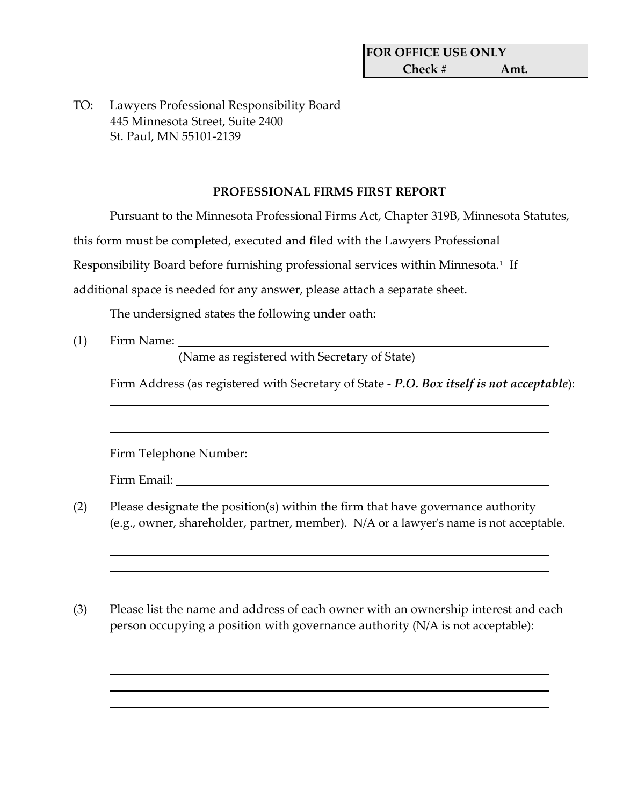TO: Lawyers Professional Responsibility Board 445 Minnesota Street, Suite 2400 St. Paul, MN 55101-2139

## **PROFESSIONAL FIRMS FIRST REPORT**

Pursuant to the Minnesota Professional Firms Act, Chapter 319B, Minnesota Statutes,

this form must be completed, executed and filed with the Lawyers Professional

Responsibility Board before furnishing professional services within Minnesota.<sup>[1](#page-1-0)</sup> If

additional space is needed for any answer, please attach a separate sheet.

The undersigned states the following under oath:

(1) Firm Name:

(Name as registered with Secretary of State)

Firm Address (as registered with Secretary of State - *P.O. Box itself is not acceptable*):

Firm Telephone Number:

Firm Email:

- (2) Please designate the position(s) within the firm that have governance authority (e.g., owner, shareholder, partner, member). N/A or a lawyer's name is not acceptable.
- (3) Please list the name and address of each owner with an ownership interest and each person occupying a position with governance authority (N/A is not acceptable):